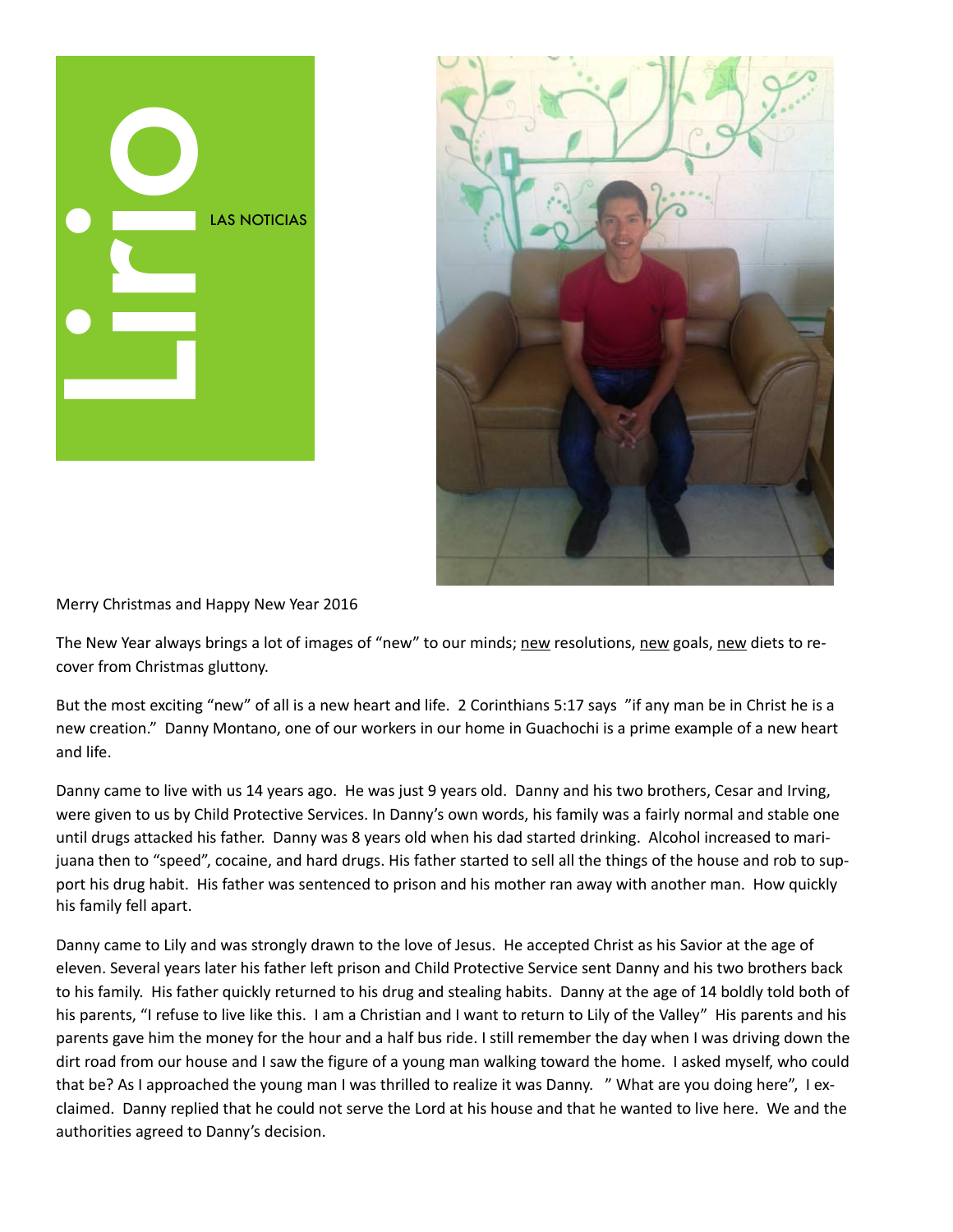



Merry Christmas and Happy New Year 2016

The New Year always brings a lot of images of "new" to our minds; new resolutions, new goals, new diets to recover from Christmas gluttony.

But the most exciting "new" of all is a new heart and life. 2 Corinthians 5:17 says "if any man be in Christ he is a new creation." Danny Montano, one of our workers in our home in Guachochi is a prime example of a new heart and life.

Danny came to live with us 14 years ago. He was just 9 years old. Danny and his two brothers, Cesar and Irving, were given to us by Child Protective Services. In Danny's own words, his family was a fairly normal and stable one until drugs attacked his father. Danny was 8 years old when his dad started drinking. Alcohol increased to marijuana then to "speed", cocaine, and hard drugs. His father started to sell all the things of the house and rob to support his drug habit. His father was sentenced to prison and his mother ran away with another man. How quickly his family fell apart.

Danny came to Lily and was strongly drawn to the love of Jesus. He accepted Christ as his Savior at the age of eleven. Several years later his father left prison and Child Protective Service sent Danny and his two brothers back to his family. His father quickly returned to his drug and stealing habits. Danny at the age of 14 boldly told both of his parents, "I refuse to live like this. I am a Christian and I want to return to Lily of the Valley" His parents and his parents gave him the money for the hour and a half bus ride. I still remember the day when I was driving down the dirt road from our house and I saw the figure of a young man walking toward the home. I asked myself, who could that be? As I approached the young man I was thrilled to realize it was Danny. "What are you doing here", I exclaimed. Danny replied that he could not serve the Lord at his house and that he wanted to live here. We and the authorities agreed to Danny's decision.